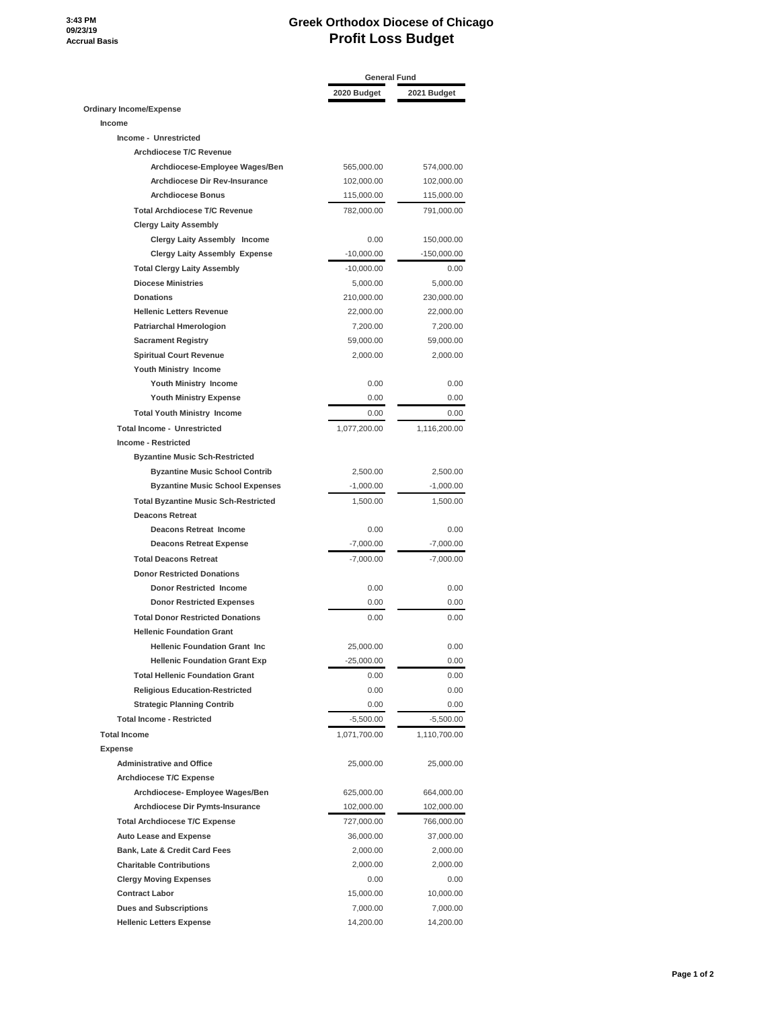## **3:43 PM 09/23/19 Accrual Basis**

## **Greek Orthodox Diocese of Chicago Profit Loss Budget**

|                                             | <b>General Fund</b> |               |
|---------------------------------------------|---------------------|---------------|
|                                             | 2020 Budget         | 2021 Budget   |
| <b>Ordinary Income/Expense</b>              |                     |               |
| Income                                      |                     |               |
| Income - Unrestricted                       |                     |               |
| Archdiocese T/C Revenue                     |                     |               |
| Archdiocese-Employee Wages/Ben              | 565,000.00          | 574,000.00    |
| <b>Archdiocese Dir Rev-Insurance</b>        | 102,000.00          | 102,000.00    |
| <b>Archdiocese Bonus</b>                    | 115,000.00          | 115,000.00    |
| <b>Total Archdiocese T/C Revenue</b>        | 782,000.00          | 791,000.00    |
| <b>Clergy Laity Assembly</b>                |                     |               |
| Clergy Laity Assembly Income                | 0.00                | 150,000.00    |
| <b>Clergy Laity Assembly Expense</b>        | $-10,000.00$        | $-150,000.00$ |
| <b>Total Clergy Laity Assembly</b>          | $-10,000.00$        | 0.00          |
| <b>Diocese Ministries</b>                   | 5,000.00            | 5,000.00      |
| <b>Donations</b>                            | 210,000.00          | 230,000.00    |
| <b>Hellenic Letters Revenue</b>             | 22,000.00           | 22,000.00     |
|                                             |                     |               |
| <b>Patriarchal Hmerologion</b>              | 7,200.00            | 7,200.00      |
| <b>Sacrament Registry</b>                   | 59,000.00           | 59,000.00     |
| <b>Spiritual Court Revenue</b>              | 2,000.00            | 2,000.00      |
| <b>Youth Ministry Income</b>                |                     |               |
| Youth Ministry Income                       | 0.00                | 0.00          |
| <b>Youth Ministry Expense</b>               | 0.00                | 0.00          |
| <b>Total Youth Ministry Income</b>          | 0.00                | 0.00          |
| <b>Total Income - Unrestricted</b>          | 1,077,200.00        | 1,116,200.00  |
| <b>Income - Restricted</b>                  |                     |               |
| <b>Byzantine Music Sch-Restricted</b>       |                     |               |
| <b>Byzantine Music School Contrib</b>       | 2,500.00            | 2,500.00      |
| <b>Byzantine Music School Expenses</b>      | $-1,000.00$         | $-1,000.00$   |
| <b>Total Byzantine Music Sch-Restricted</b> | 1,500.00            | 1,500.00      |
| <b>Deacons Retreat</b>                      |                     |               |
| <b>Deacons Retreat Income</b>               | 0.00                | 0.00          |
| <b>Deacons Retreat Expense</b>              | $-7,000.00$         | $-7,000.00$   |
| <b>Total Deacons Retreat</b>                | $-7,000.00$         | $-7,000.00$   |
| <b>Donor Restricted Donations</b>           |                     |               |
| <b>Donor Restricted Income</b>              | 0.00                | 0.00          |
| <b>Donor Restricted Expenses</b>            | 0.00                | 0.00          |
| <b>Total Donor Restricted Donations</b>     | 0.00                | 0.00          |
| <b>Hellenic Foundation Grant</b>            |                     |               |
|                                             |                     |               |
| <b>Hellenic Foundation Grant Inc</b>        | 25,000.00           | 0.00          |
| <b>Hellenic Foundation Grant Exp</b>        | $-25,000.00$        | 0.00          |
| <b>Total Hellenic Foundation Grant</b>      | 0.00                | 0.00          |
| <b>Religious Education-Restricted</b>       | 0.00                | 0.00          |
| <b>Strategic Planning Contrib</b>           | 0.00                | 0.00          |
| <b>Total Income - Restricted</b>            | $-5,500.00$         | $-5,500.00$   |
| <b>Total Income</b>                         | 1,071,700.00        | 1,110,700.00  |
| <b>Expense</b>                              |                     |               |
| <b>Administrative and Office</b>            | 25,000.00           | 25,000.00     |
| <b>Archdiocese T/C Expense</b>              |                     |               |
| Archdiocese- Employee Wages/Ben             | 625,000.00          | 664,000.00    |
| Archdiocese Dir Pymts-Insurance             | 102,000.00          | 102,000.00    |
| <b>Total Archdiocese T/C Expense</b>        | 727,000.00          | 766,000.00    |
| <b>Auto Lease and Expense</b>               | 36,000.00           | 37,000.00     |
| Bank, Late & Credit Card Fees               | 2,000.00            | 2,000.00      |
| <b>Charitable Contributions</b>             | 2,000.00            | 2,000.00      |
| <b>Clergy Moving Expenses</b>               | 0.00                | 0.00          |
| <b>Contract Labor</b>                       | 15,000.00           | 10,000.00     |
| <b>Dues and Subscriptions</b>               | 7,000.00            | 7,000.00      |
|                                             |                     |               |
| <b>Hellenic Letters Expense</b>             | 14,200.00           | 14,200.00     |